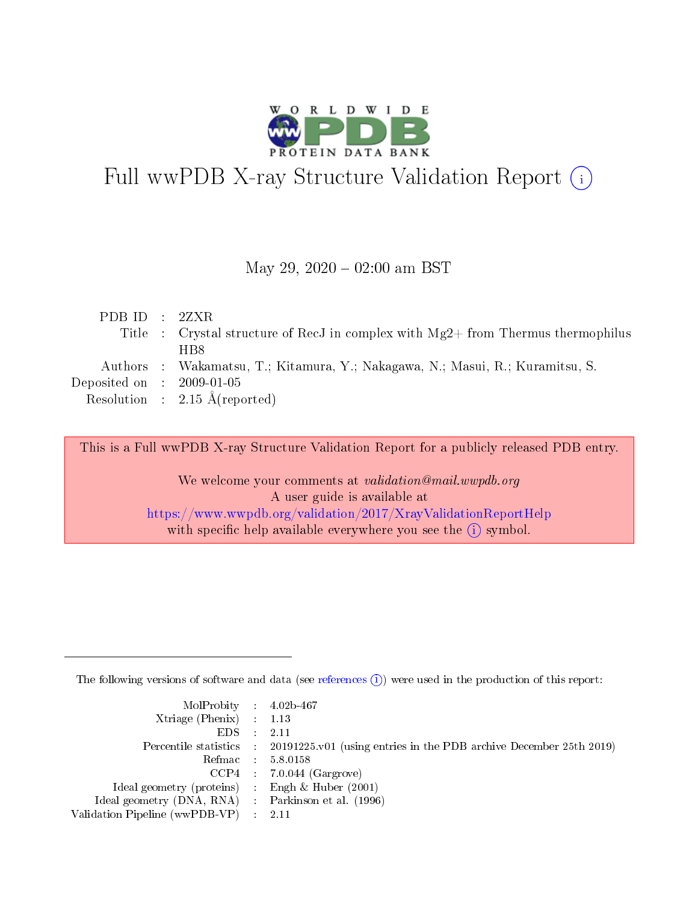

# Full wwPDB X-ray Structure Validation Report (i)

### May 29,  $2020 - 02:00$  am BST

| PDBID : 2ZXR                |                                                                                    |
|-----------------------------|------------------------------------------------------------------------------------|
|                             | Title : Crystal structure of RecJ in complex with $Mg2+$ from Thermus thermophilus |
|                             | H <sub>B</sub> <sup>8</sup>                                                        |
|                             | Authors: Wakamatsu, T.; Kitamura, Y.; Nakagawa, N.; Masui, R.; Kuramitsu, S.       |
| Deposited on : $2009-01-05$ |                                                                                    |
|                             | Resolution : $2.15 \text{ Å}$ (reported)                                           |

This is a Full wwPDB X-ray Structure Validation Report for a publicly released PDB entry.

We welcome your comments at validation@mail.wwpdb.org A user guide is available at <https://www.wwpdb.org/validation/2017/XrayValidationReportHelp> with specific help available everywhere you see the  $(i)$  symbol.

The following versions of software and data (see [references](https://www.wwpdb.org/validation/2017/XrayValidationReportHelp#references)  $(i)$ ) were used in the production of this report:

| MolProbity : 4.02b-467                              |                                                                                            |
|-----------------------------------------------------|--------------------------------------------------------------------------------------------|
| $Xtriangle (Phenix)$ : 1.13                         |                                                                                            |
| $EDS = 2.11$                                        |                                                                                            |
|                                                     | Percentile statistics : 20191225.v01 (using entries in the PDB archive December 25th 2019) |
|                                                     | Refmac : 5.8.0158                                                                          |
|                                                     | $CCP4$ 7.0.044 (Gargrove)                                                                  |
| Ideal geometry (proteins) : Engh $\&$ Huber (2001)  |                                                                                            |
| Ideal geometry (DNA, RNA) : Parkinson et al. (1996) |                                                                                            |
| Validation Pipeline (wwPDB-VP) : 2.11               |                                                                                            |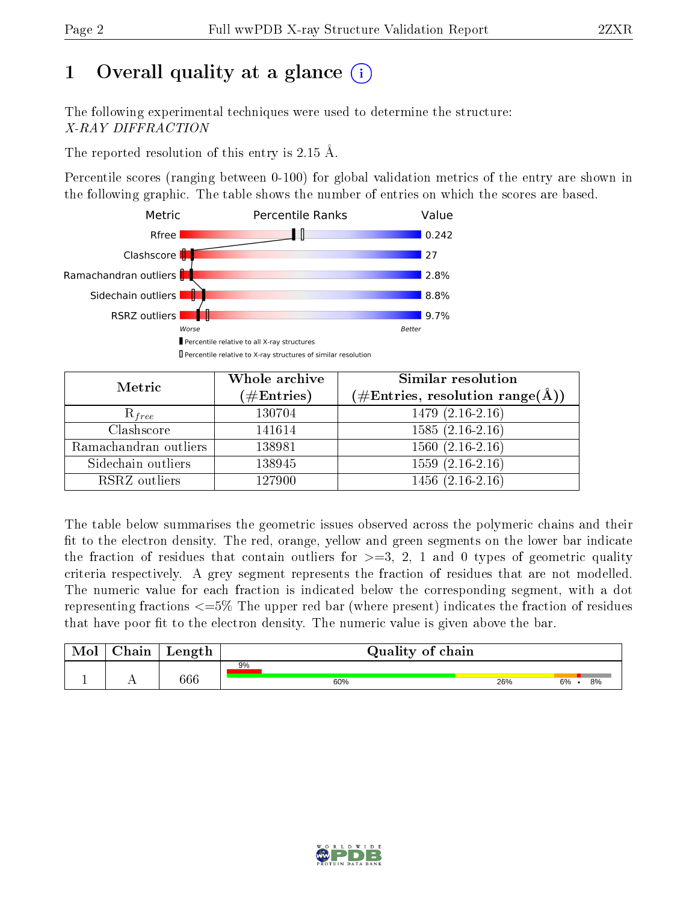# 1 [O](https://www.wwpdb.org/validation/2017/XrayValidationReportHelp#overall_quality)verall quality at a glance  $(i)$

The following experimental techniques were used to determine the structure: X-RAY DIFFRACTION

The reported resolution of this entry is 2.15 Å.

Percentile scores (ranging between 0-100) for global validation metrics of the entry are shown in the following graphic. The table shows the number of entries on which the scores are based.



| Metric                | Whole archive<br>$(\#\mathrm{Entries})$ | Similar resolution<br>$(\#\text{Entries},\, \text{resolution}\; \text{range}(\textup{\AA}))$ |
|-----------------------|-----------------------------------------|----------------------------------------------------------------------------------------------|
| $R_{free}$            | 130704                                  | $1479(2.16-2.16)$                                                                            |
| Clashscore            | 141614                                  | $1585(2.16-2.16)$                                                                            |
| Ramachandran outliers | 138981                                  | $1560(2.16-2.16)$                                                                            |
| Sidechain outliers    | 138945                                  | $1559(2.16-2.16)$                                                                            |
| RSRZ outliers         | 127900                                  | $1456(2.16-2.16)$                                                                            |

The table below summarises the geometric issues observed across the polymeric chains and their fit to the electron density. The red, orange, yellow and green segments on the lower bar indicate the fraction of residues that contain outliers for  $>=3, 2, 1$  and 0 types of geometric quality criteria respectively. A grey segment represents the fraction of residues that are not modelled. The numeric value for each fraction is indicated below the corresponding segment, with a dot representing fractions <=5% The upper red bar (where present) indicates the fraction of residues that have poor fit to the electron density. The numeric value is given above the bar.

| Mol | $\gamma$ hain | Length | Quality of chain |     |          |  |  |
|-----|---------------|--------|------------------|-----|----------|--|--|
|     |               |        | 9%               |     |          |  |  |
|     | . .           | 566    | 60%              | 26% | 6%<br>8% |  |  |

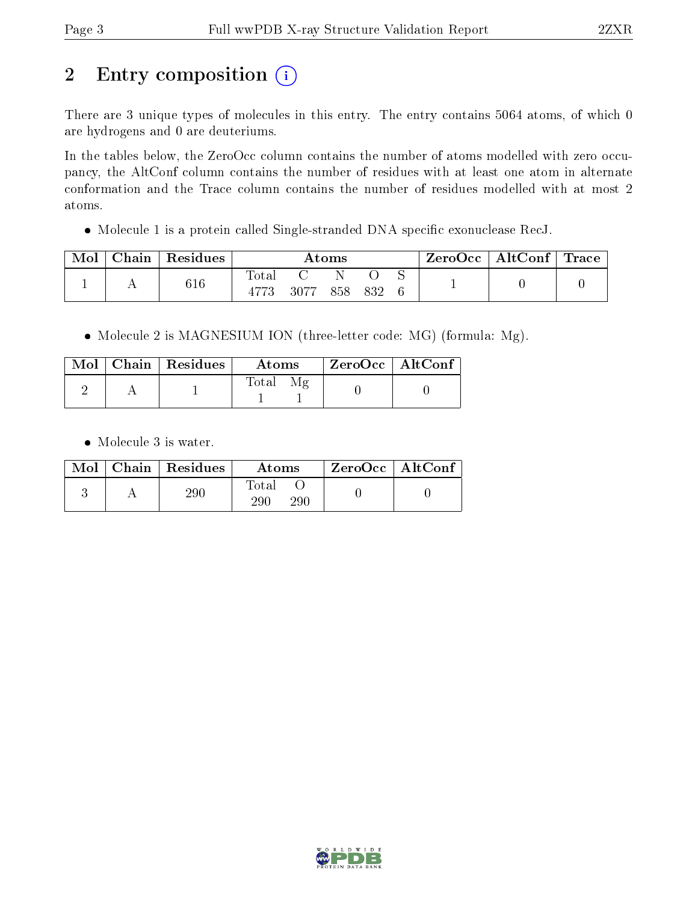# 2 Entry composition (i)

There are 3 unique types of molecules in this entry. The entry contains 5064 atoms, of which 0 are hydrogens and 0 are deuteriums.

In the tables below, the ZeroOcc column contains the number of atoms modelled with zero occupancy, the AltConf column contains the number of residues with at least one atom in alternate conformation and the Trace column contains the number of residues modelled with at most 2 atoms.

• Molecule 1 is a protein called Single-stranded DNA specific exonuclease RecJ.

| Chain | $\mathsf{Residues}$ | $\rm{Atoms}$ |  |      |     |     |  |                                    |
|-------|---------------------|--------------|--|------|-----|-----|--|------------------------------------|
|       | $616\,$             | $\rm Total$  |  |      |     |     |  |                                    |
|       |                     |              |  | 3077 | 858 | 832 |  | $\text{ZeroOcc}$   AltConf   Trace |

• Molecule 2 is MAGNESIUM ION (three-letter code: MG) (formula: Mg).

|  | $\text{Mol}$   Chain   Residues | Atoms | $\mid$ ZeroOcc $\mid$ AltConf $\mid$ |  |
|--|---------------------------------|-------|--------------------------------------|--|
|  |                                 | Total |                                      |  |

• Molecule 3 is water.

|  | $Mol$   Chain   Residues | Atoms               | $ZeroOcc \mid AltConf$ |
|--|--------------------------|---------------------|------------------------|
|  | $\rm 290$                | Total<br>290<br>290 |                        |

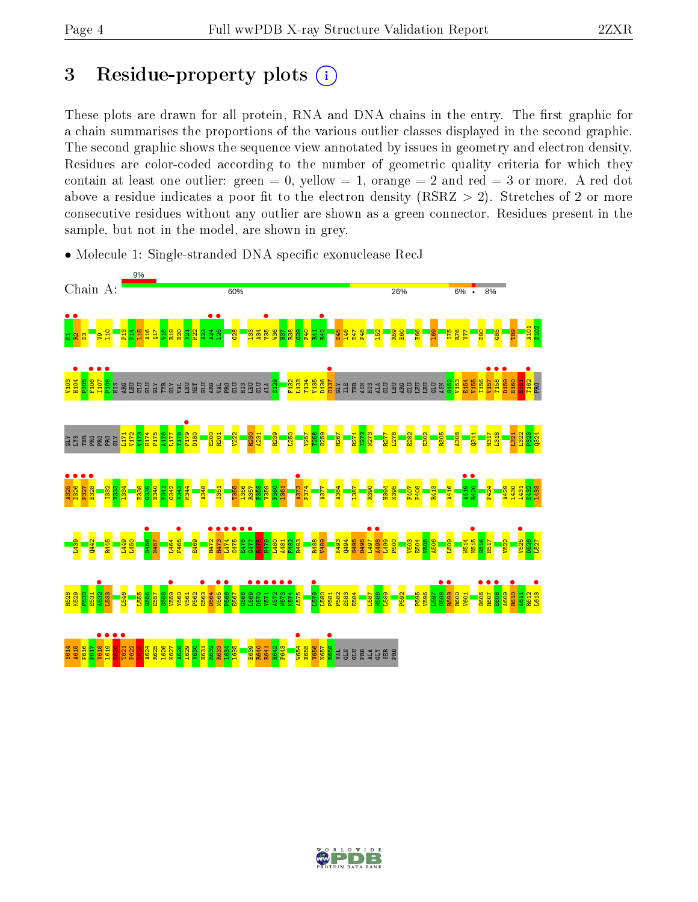## 3 Residue-property plots  $(i)$

These plots are drawn for all protein, RNA and DNA chains in the entry. The first graphic for a chain summarises the proportions of the various outlier classes displayed in the second graphic. The second graphic shows the sequence view annotated by issues in geometry and electron density. Residues are color-coded according to the number of geometric quality criteria for which they contain at least one outlier: green  $= 0$ , yellow  $= 1$ , orange  $= 2$  and red  $= 3$  or more. A red dot above a residue indicates a poor fit to the electron density (RSRZ  $> 2$ ). Stretches of 2 or more consecutive residues without any outlier are shown as a green connector. Residues present in the sample, but not in the model, are shown in grey.



• Molecule 1: Single-stranded DNA specific exonuclease RecJ

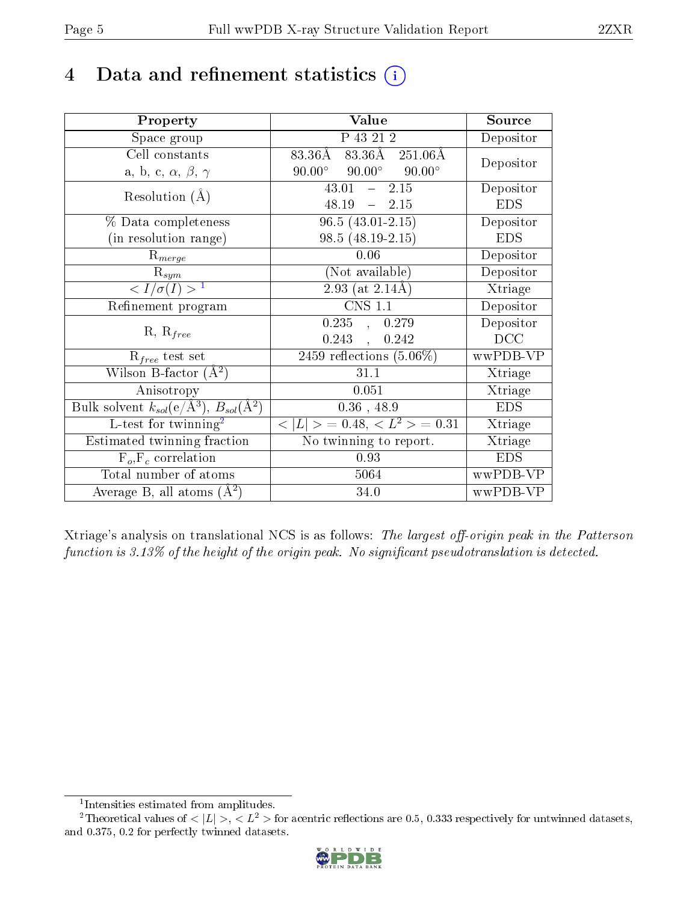## 4 Data and refinement statistics  $(i)$

| Property                                                         | Value                                            | Source     |
|------------------------------------------------------------------|--------------------------------------------------|------------|
| Space group                                                      | P 43 21 2                                        | Depositor  |
| Cell constants                                                   | 83.36Å 83.36Å 251.06Å                            | Depositor  |
| a, b, c, $\alpha$ , $\beta$ , $\gamma$                           | $90.00^{\circ}$ $90.00^{\circ}$<br>$90.00^\circ$ |            |
| Resolution $(A)$                                                 | $-2.15$<br>43.01                                 | Depositor  |
|                                                                  | 48.19<br>$-2.15$                                 | <b>EDS</b> |
| $\%$ Data completeness                                           | $96.5(43.01-2.15)$                               | Depositor  |
| (in resolution range)                                            | $98.5(48.19-2.15)$                               | <b>EDS</b> |
| $R_{merge}$                                                      | 0.06                                             | Depositor  |
| $\mathrm{R}_{sym}$                                               | (Not available)                                  | Depositor  |
| $\langle I/\sigma(I) \rangle^{-1}$                               | $2.93$ (at $2.14\text{\AA}$ )                    | Xtriage    |
| Refinement program                                               | $\overline{\text{CNS} 1.1}$                      | Depositor  |
|                                                                  | $0.235$ , $0.279$                                | Depositor  |
| $R, R_{free}$                                                    | 0.243,<br>0.242                                  | DCC        |
| $R_{free}$ test set                                              | 2459 reflections $(5.06\%)$                      | wwPDB-VP   |
| Wilson B-factor $(A^2)$                                          | 31.1                                             | Xtriage    |
| Anisotropy                                                       | 0.051                                            | Xtriage    |
| Bulk solvent $k_{sol}(\text{e}/\text{A}^3), B_{sol}(\text{A}^2)$ | $0.36$ , 48.9                                    | <b>EDS</b> |
| L-test for $\mathrm{twinning}^2$                                 | $< L >$ = 0.48, $< L2 >$ = 0.31                  | Xtriage    |
| Estimated twinning fraction                                      | No twinning to report.                           | Xtriage    |
| $\overline{F_o}, \overline{F_c}$ correlation                     | 0.93                                             | <b>EDS</b> |
| Total number of atoms                                            | 5064                                             | wwPDB-VP   |
| Average B, all atoms $(A^2)$                                     | 34.0                                             | wwPDB-VP   |

Xtriage's analysis on translational NCS is as follows: The largest off-origin peak in the Patterson function is  $3.13\%$  of the height of the origin peak. No significant pseudotranslation is detected.

<sup>&</sup>lt;sup>2</sup>Theoretical values of  $\langle |L| \rangle$ ,  $\langle L^2 \rangle$  for acentric reflections are 0.5, 0.333 respectively for untwinned datasets, and 0.375, 0.2 for perfectly twinned datasets.



<span id="page-4-1"></span><span id="page-4-0"></span><sup>1</sup> Intensities estimated from amplitudes.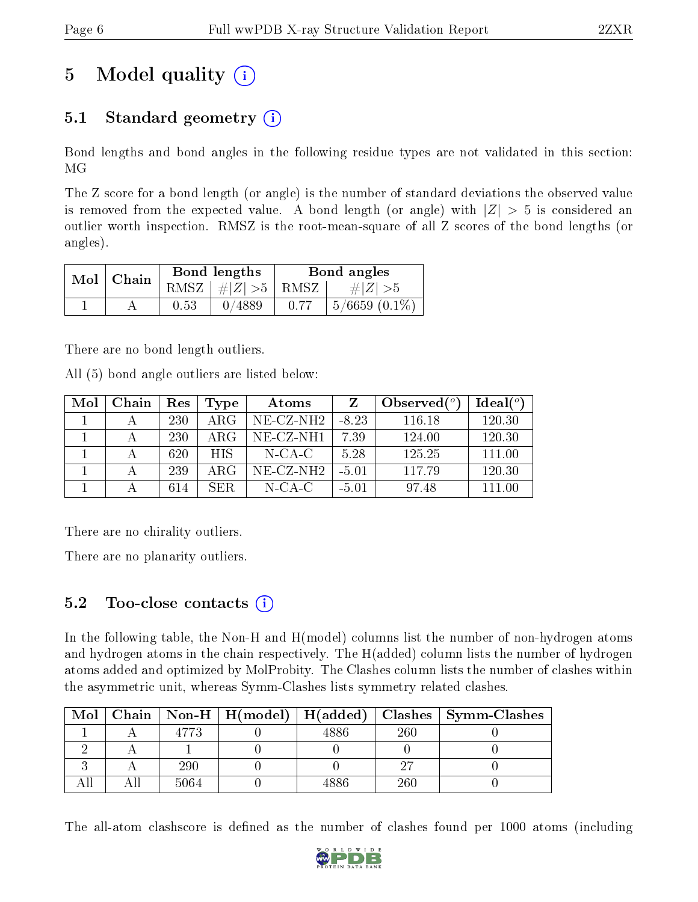# 5 Model quality  $(i)$

## 5.1 Standard geometry  $(i)$

Bond lengths and bond angles in the following residue types are not validated in this section: MG

The Z score for a bond length (or angle) is the number of standard deviations the observed value is removed from the expected value. A bond length (or angle) with  $|Z| > 5$  is considered an outlier worth inspection. RMSZ is the root-mean-square of all Z scores of the bond lengths (or angles).

| Mol | Chain |      | Bond lengths                   | Bond angles |                    |  |
|-----|-------|------|--------------------------------|-------------|--------------------|--|
|     |       |      | RMSZ $\mid \#Z \mid >5$   RMSZ |             | $\# Z  > 5$        |  |
|     |       | 0.53 | 0/4889                         |             | $5/6659$ $(0.1\%)$ |  |

There are no bond length outliers.

All (5) bond angle outliers are listed below:

| Mol | Chain | Res | Type | Atoms     |         | Observed $(°)$ | Ideal $(°)$ |
|-----|-------|-----|------|-----------|---------|----------------|-------------|
|     |       | 230 | ARG  | NE-CZ-NH2 | $-8.23$ | 116.18         | 120.30      |
|     |       | 230 | ARG  | NE-CZ-NH1 | 7.39    | 124.00         | 120.30      |
|     |       | 620 | HIS. | $N$ -CA-C | 5.28    | 125.25         | 111.00      |
|     |       | 239 | ARG  | NE-CZ-NH2 | $-5.01$ | 117.79         | 120.30      |
|     |       | 614 | SER. | $N-CA-C$  | $-5.01$ | 97.48          | 111.00      |

There are no chirality outliers.

There are no planarity outliers.

## $5.2$  Too-close contacts  $(i)$

In the following table, the Non-H and H(model) columns list the number of non-hydrogen atoms and hydrogen atoms in the chain respectively. The H(added) column lists the number of hydrogen atoms added and optimized by MolProbity. The Clashes column lists the number of clashes within the asymmetric unit, whereas Symm-Clashes lists symmetry related clashes.

| Mol |      |     |     | Chain   Non-H   H(model)   H(added)   Clashes   Symm-Clashes |
|-----|------|-----|-----|--------------------------------------------------------------|
|     | 4773 |     | 260 |                                                              |
|     |      |     |     |                                                              |
|     | 290  |     | ൌ   |                                                              |
|     | 5064 | 886 | 260 |                                                              |

The all-atom clashscore is defined as the number of clashes found per 1000 atoms (including

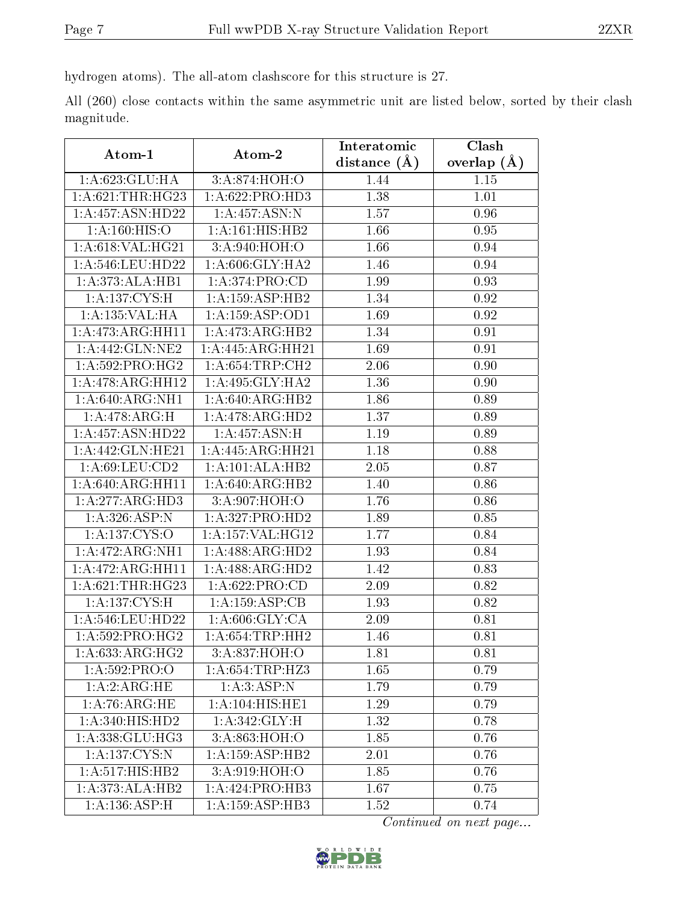hydrogen atoms). The all-atom clashscore for this structure is 27.

All (260) close contacts within the same asymmetric unit are listed below, sorted by their clash magnitude.

| Atom-1                       | Atom-2                     | Interatomic      | Clash         |
|------------------------------|----------------------------|------------------|---------------|
|                              |                            | distance $(\AA)$ | overlap $(A)$ |
| 1:A:623:GLU:HA               | 3:A:874:HOH:O              | 1.44             | 1.15          |
| 1: A:621:THR:HG23            | 1:A:622:PRO:HD3            | 1.38             | 1.01          |
| 1: A:457: ASN:HD22           | $1:A:457:ASN:\overline{N}$ | 1.57             | 0.96          |
| $1:\overline{A:160:HISO}$    | 1:A:161:HIS:HB2            | 1.66             | 0.95          |
| 1: A:618: VAL:HG21           | 3:A:940:HOH:O              | 1.66             | 0.94          |
| 1: A:546:LEU:HD22            | 1: A:606: GLY:HA2          | 1.46             | 0.94          |
| 1:A:373:ALA:HB1              | 1: A:374: PRO:CD           | 1.99             | 0.93          |
| 1: A:137:CYS:H               | 1:A:159:ASP:HB2            | 1.34             | 0.92          |
| 1:A:135:VAL:HA               | 1: A: 159: ASP: OD1        | 1.69             | 0.92          |
| 1:A:473:ARG:HH11             | 1:A:473:ARG:HB2            | 1.34             | 0.91          |
| 1: A:442: GLN: NE2           | 1:A:445:ARG:HH21           | 1.69             | 0.91          |
| 1: A:592: PRO:HG2            | 1: A:654:TRP:CH2           | 2.06             | 0.90          |
| 1:A:478:ARG:HH12             | 1:A:495:GLY:HA2            | 1.36             | 0.90          |
| 1: A:640: ARG: NH1           | 1:A:640:ARG:HB2            | 1.86             | 0.89          |
| 1:A:478:ARG:H                | 1:A:478:ARG:HD2            | 1.37             | 0.89          |
| 1:A:457:ASN:HD22             | 1: A:457: ASN:H            | 1.19             | 0.89          |
| 1:A:442:GLN:HE21             | 1:A:445:ARG:HH21           | 1.18             | 0.88          |
| 1:A:69:LEU:CD2               | 1:A:101:ALA:HB2            | 2.05             | 0.87          |
| 1:A:640:ARG:HH11             | 1:A:640:ARG:HB2            | 1.40             | 0.86          |
| 1:A:277:ARG:HD3              | 3:A:907:HOH:O              | 1.76             | 0.86          |
| 1:A:326:ASP:N                | 1:A:327:PRO:HD2            | 1.89             | 0.85          |
| 1:A:137:CYS:O                | 1:A:157:VAL:HG12           | 1.77             | 0.84          |
| 1:A:472:ARG:NH1              | 1:A:488:ARG:HD2            | 1.93             | 0.84          |
| 1:A:472:ARG:HH11             | 1:A:488:ARG:HD2            | 1.42             | 0.83          |
| 1:A:621:THR:HG23             | 1: A:622: PRO:CD           | 2.09             | 0.82          |
| 1:A:137:CYS:H                | 1:A:159:ASP:CB             | 1.93             | 0.82          |
| 1:A:546:LEU:HD22             | 1: A:606: GLY:CA           | 2.09             | 0.81          |
| 1: A:592: PRO:HG2            | 1: A:654:TRP:HH2           | 1.46             | 0.81          |
| 1: A:633:ARG:HG2             | 3:A:837:HOH:O              | 1.81             | 0.81          |
| 1:A:592:PRO:O                | 1: A:654:TRP:HZ3           | 1.65             | 0.79          |
| 1:A:2:ARG:HE                 | 1: A:3: ASP: N             | 1.79             | 0.79          |
| 1: A:76: ARG: HE             | 1: A:104: HIS: HE1         | 1.29             | 0.79          |
| 1:A:340:HIS:HD2              | 1: A:342: GLY: H           | 1.32             | 0.78          |
| 1:A:338:GLU:HG3              | 3:A:863:HOH:O              | 1.85             | 0.76          |
| 1: A: 137: CYS:N             | 1:A:159:ASP:HB2            | 2.01             | 0.76          |
| $1:A:517:HI\overline{S:HB2}$ | 3:A:919:HOH:O              | 1.85             | 0.76          |
| 1:A:373:ALA:HB2              | 1:A:424:PRO:HB3            | 1.67             | 0.75          |
| 1:A:136:ASP:H                | 1:A:159:ASP:HB3            | 1.52             | 0.74          |

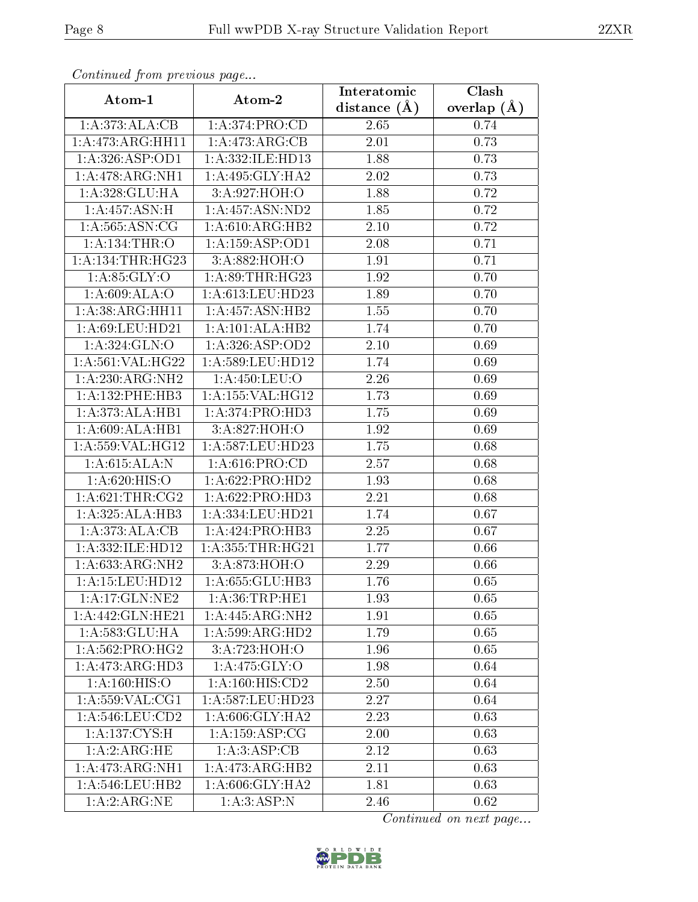| Continuou jiom protivus pago |                              | Interatomic       | Clash         |
|------------------------------|------------------------------|-------------------|---------------|
| Atom-1                       | Atom-2                       | distance $(\AA)$  | overlap $(A)$ |
| 1:A:373:ALA:CB               | 1:A:374:PRO:CD               | 2.65              | 0.74          |
| 1:A:473:ARG:HH11             | 1:A:473:ARG:CB               | 2.01              | 0.73          |
| 1: A:326: ASP:OD1            | 1:A:332:ILE:HD13             | 1.88              | 0.73          |
| 1:A:478:ARG:NH1              | 1:A:495:GLY:HA2              | 2.02              | 0.73          |
| 1:A:328:GLU:HA               | 3:A:927:HOH:O                | 1.88              | 0.72          |
| 1:A:457:ASN:H                | 1:A:457:ASN:ND2              | 1.85              | 0.72          |
| 1: A: 565: ASN: CG           | 1:A:610:ARG:HB2              | 2.10              | 0.72          |
| 1: A: 134: THR: O            | 1: A: 159: ASP: OD1          | 2.08              | 0.71          |
| 1: A: 134: THR: HG23         | 3:A:882:HOH:O                | 1.91              | 0.71          |
| 1: A:85: GLY:O               | 1: A:89:THR:HG23             | 1.92              | 0.70          |
| 1: A:609: ALA:O              | 1:A:613:LEU:HD23             | 1.89              | 0.70          |
| 1:A:38:ARG:HH11              | 1:A:457:ASN:HB2              | 1.55              | 0.70          |
| 1: A:69: LEU: HD21           | 1:A:101:ALA:HB2              | 1.74              | 0.70          |
| 1: A:324: GLN:O              | 1: A:326: ASP:OD2            | 2.10              | 0.69          |
| 1:A:561:VAL:HG22             | 1:A:589:LEU:HD12             | 1.74              | 0.69          |
| 1:A:230:ARG:NH2              | 1: A: 450: LEU: O            | 2.26              | 0.69          |
| 1:A:132:PHE:HB3              | 1: A: 155: VAL: HG12         | 1.73              | 0.69          |
| 1:A:373:ALA:HB1              | 1: A:374: PRO:HD3            | 1.75              | 0.69          |
| 1:A:609:ALA:HB1              | 3:A:827:HOH:O                | 1.92              | 0.69          |
| 1: A: 559: VAL: HG12         | 1: A:587:LEU:HD23            | 1.75              | 0.68          |
| 1: A:615: ALA: N             | 1: A:616: PRO:CD             | $\overline{2}.57$ | 0.68          |
| 1: A:620: HIS:O              | 1: A:622: PRO:HD2            | 1.93              | 0.68          |
| 1: A:621:THR:CG2             | 1: A:622: PRO:HD3            | 2.21              | 0.68          |
| 1:A:325:ALA:HB3              | 1: A: 334: LEU: HD21         | 1.74              | 0.67          |
| 1: A:373:ALA:CB              | 1:A:424:PRO:HB3              | 2.25              | 0.67          |
| 1:A:332:ILE:HD12             | 1: A: 355: THR: HG21         | 1.77              | 0.66          |
| 1: A:633:ARG:NH2             | 3:A:873:HOH:O                | 2.29              | 0.66          |
| $1: A: 15:$ LEU:HD $12$      | 1:A:655:GLU:HB3              | 1.76              | 0.65          |
| 1: A:17: GLN:NE2             | 1: A:36:TRP:HE1              | 1.93              | 0.65          |
| 1:A:442:GLN:HE21             | 1:A:445:ARG:NH2              | 1.91              | 0.65          |
| 1:A:583:GLU:HA               | $1:A:599:ARG:\overline{HD2}$ | 1.79              | 0.65          |
| 1:A:562:PRO:HG2              | 3:A:723:HOH:O                | 1.96              | 0.65          |
| 1: A:473:ARG:HD3             | 1:A:475:GLY:O                | 1.98              | 0.64          |
| 1: A:160: HIS:O              | 1: A: 160: HIS: CD2          | 2.50              | 0.64          |
| 1: A:559: VAL:CG1            | 1:A:587:LEU:HD23             | 2.27              | 0.64          |
| 1:A:546:LEU:CD2              | 1: A:606: GLY:HA2            | 2.23              | 0.63          |
| 1: A: 137: CYS:H             | 1:A:159:ASP:CG               | 2.00              | 0.63          |
| 1:A:2:ARG:HE                 | 1: A:3: ASP:CB               | 2.12              | 0.63          |
| 1:A:473:ARG:NH1              | 1:A:473:ARG:HB2              | 2.11              | 0.63          |
| 1:A:546:LEU:HB2              | 1: A:606: GLY:HA2            | 1.81              | 0.63          |
| 1:A:2:ARG:NE                 | 1: A:3: ASP:N                | 2.46              | 0.62          |

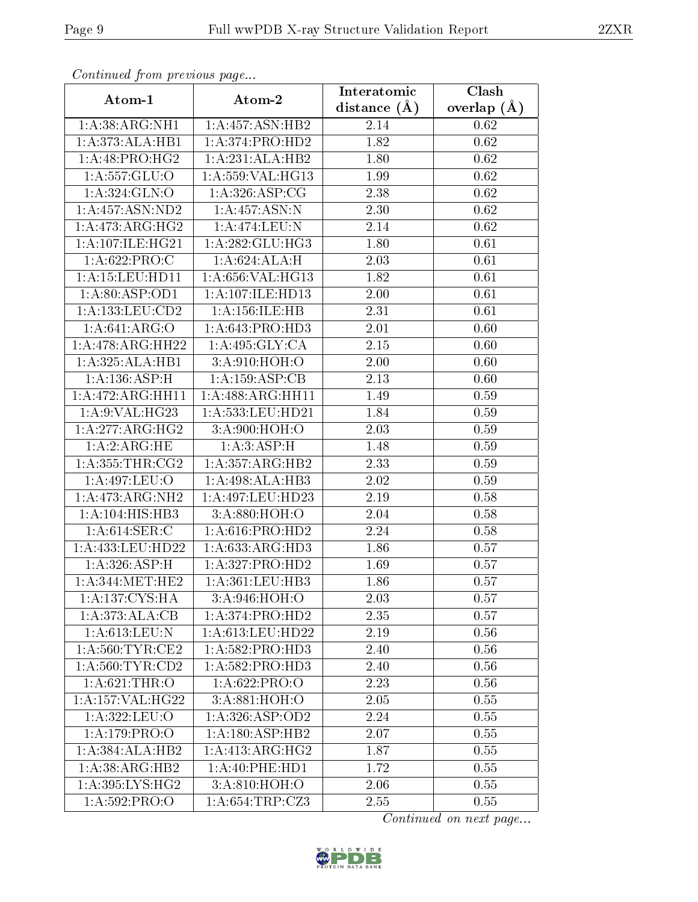| Commuca from previous page |                               | Interatomic    | Clash         |
|----------------------------|-------------------------------|----------------|---------------|
| Atom-1                     | Atom-2                        | distance $(A)$ | overlap $(A)$ |
| 1: A:38: ARG: NH1          | 1:A:457:ASN:HB2               | 2.14           | 0.62          |
| 1:A:373:ALA:HB1            | 1:A:374:PRO:HD2               | 1.82           | 0.62          |
| 1: A:48: PRO:HG2           | 1:A:231:ALA:HB2               | 1.80           | 0.62          |
| 1:A:557:GLU:O              | 1:A:559:VAL:HG13              | 1.99           | 0.62          |
| 1:A:324:GLN:O              | 1: A:326: ASP:CG              | 2.38           | 0.62          |
| 1: A: 457: ASN: ND2        | 1: A:457: ASN: N              | 2.30           | 0.62          |
| 1:A:473:ARG:HG2            | 1:A:474:LEU:N                 | 2.14           | 0.62          |
| 1:A:107:ILE:HG21           | $1:A:282:GLU:H\overline{G3}$  | 1.80           | 0.61          |
| 1:A:622:PRO:C              | 1:A:624:ALA:H                 | 2.03           | 0.61          |
| 1: A: 15: LEU: HD11        | 1:A:656:VAL:HG13              | 1.82           | 0.61          |
| 1: A:80: ASP:OD1           | 1:A:107:ILE:HD13              | 2.00           | 0.61          |
| 1: A: 133: LEU: CD2        | 1: A: 156: ILE: HB            | 2.31           | 0.61          |
| 1: A:641: ARG:O            | 1: A:643: PRO:HD3             | 2.01           | 0.60          |
| 1:A:478:ARG:HH22           | 1:A:495:GLY:CA                | 2.15           | 0.60          |
| 1:A:325:ALA:HB1            | 3:A:910:HOH:O                 | 2.00           | 0.60          |
| 1:A:136:ASP:H              | 1:A:159:ASP:CB                | 2.13           | 0.60          |
| 1:A:472:ARG:HH11           | 1:A:488:ARG:HH11              | 1.49           | 0.59          |
| 1:A:9:VAL:HG23             | 1:A:533:LEU:HD21              | 1.84           | 0.59          |
| 1:A:277:ARG:HG2            | 3:A:900:HOH:O                 | 2.03           | 0.59          |
| 1:A:2:ARG:HE               | 1: A:3: ASP:H                 | 1.48           | 0.59          |
| 1: A: 355: THR: CG2        | 1:A:357:ARG:HB2               | 2.33           | 0.59          |
| 1:A:497:LEU:O              | 1:A:498:ALA:HB3               | 2.02           | 0.59          |
| 1:A:473:ARG:NH2            | $1:A:497:LEU:H\overline{D23}$ | 2.19           | 0.58          |
| 1: A: 104: HIS: HB3        | 3:A:880:HOH:O                 | 2.04           | 0.58          |
| 1: A:614: SER: C           | 1: A:616: PRO:HD2             | 2.24           | 0.58          |
| 1: A:433: LEU:HD22         | 1:A:633:ARG:HD3               | 1.86           | 0.57          |
| 1:A:326:ASP:H              | 1:A:327:PRO:HD2               | 1.69           | 0.57          |
| 1: A:344:MET:HE2           | 1:A:361:LEU:HB3               | 1.86           | 0.57          |
| 1:A:137:CYS:HA             | 3:A:946:HOH:O                 | 2.03           | 0.57          |
| 1:A:373:ALA:CB             | 1:A:374:PRO:HD2               | 2.35           | 0.57          |
| 1:A:613:LEU:N              | 1: A:613:LEU:HD22             | 2.19           | 0.56          |
| 1: A:560:TYR:CE2           | 1:A:582:PRO:HD3               | 2.40           | 0.56          |
| 1: A:560: TYR:CD2          | 1: A:582: PRO:HD3             | 2.40           | 0.56          |
| 1: A:621:THR:O             | 1:A:622:PRO:O                 | 2.23           | 0.56          |
| 1:A:157:VAL:HG22           | 3:A:881:HOH:O                 | 2.05           | 0.55          |
| 1: A:322:LEU:O             | 1: A:326: ASP:OD2             | 2.24           | 0.55          |
| 1:A:179:PRO:O              | 1:A:180:ASP:HB2               | 2.07           | 0.55          |
| 1:A:384:ALA:HB2            | 1: A:413: ARG: HG2            | 1.87           | 0.55          |
| 1: A:38: ARG: HB2          | 1: A:40: PHE: HD1             | 1.72           | 0.55          |
| 1:A:395:LYS:HG2            | 3:A:810:HOH:O                 | 2.06           | 0.55          |
| 1:A:592:PRO:O              | 1:A:654:TRP:CZ3               | 2.55           | 0.55          |

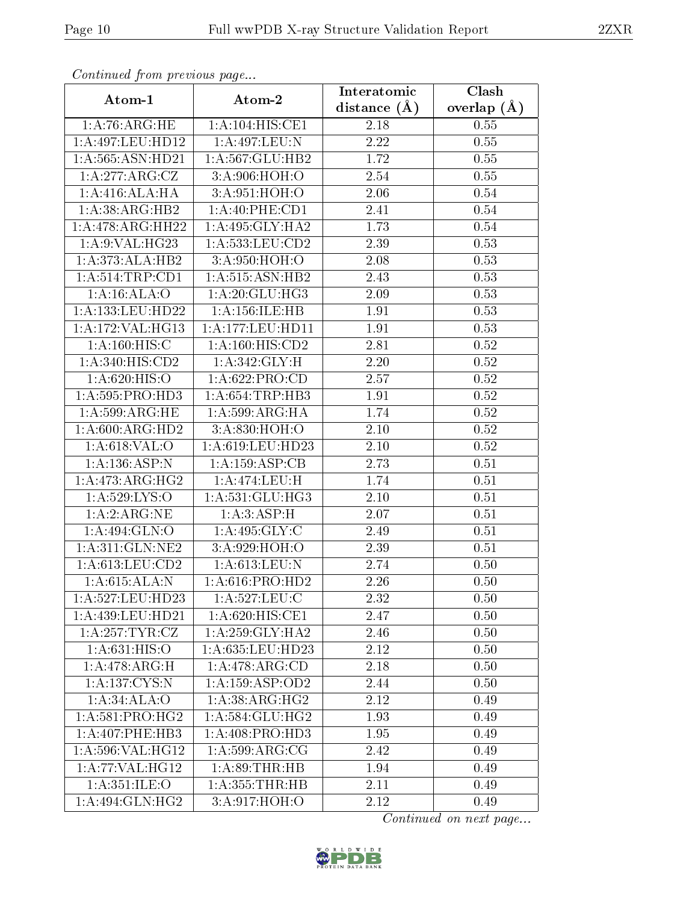| Continued from previous page |                               | Interatomic      | Clash         |
|------------------------------|-------------------------------|------------------|---------------|
| Atom-1                       | Atom-2                        | distance $(\AA)$ | overlap $(A)$ |
| 1: A:76:ARG:HE               | 1:A:104:HIS:CE1               | 2.18             | 0.55          |
| 1:A:497:LEU:HD12             | 1:A:497:LEU:N                 | 2.22             | 0.55          |
| 1:A:565:ASN:HD21             | 1:A:567:GLU:HB2               | 1.72             | 0.55          |
| 1:A:277:ARG:CZ               | 3:A:906:HOH:O                 | 2.54             | 0.55          |
| 1: A:416:ALA:HA              | 3:A:951:HOH:O                 | 2.06             | 0.54          |
| 1:A:38:ARG:HB2               | 1: A:40: PHE:CD1              | 2.41             | 0.54          |
| 1:A:478:ARG:HH22             | 1: A:495: GLY:HA2             | 1.73             | 0.54          |
| 1: A:9: VAL:HG23             | 1: A: 533: LEU: CD2           | 2.39             | 0.53          |
| 1:A:373:ALA:HB2              | 3: A:950:HOH:O                | 2.08             | 0.53          |
| 1: A:514:TRP:CD1             | 1: A:515: ASN: HB2            | 2.43             | 0.53          |
| 1: A:16: ALA:O               | 1:A:20:GLU:HG3                | 2.09             | 0.53          |
| 1: A: 133: LEU: HD22         | 1: A: 156: ILE: HB            | 1.91             | 0.53          |
| 1:A:172:VAL:HG13             | 1:A:177:LEU:HD11              | 1.91             | 0.53          |
| 1: A:160:HIS:C               | $1: A:160:\overline{HIS:CD2}$ | 2.81             | 0.52          |
| 1:A:340:HIS:CD2              | 1: A:342: GLY: H              | 2.20             | 0.52          |
| 1:A:620:HIS:O                | 1: A:622: PRO:CD              | 2.57             | 0.52          |
| 1:A:595:PRO:HD3              | 1: A:654:TRP:HB3              | 1.91             | $0.52\,$      |
| 1: A:599:ARG:HE              | 1:A:599:ARG:HA                | 1.74             | $0.52\,$      |
| 1: A:600:ARG:HD2             | 3:A:830:HOH:O                 | 2.10             | $0.52\,$      |
| 1:A:618:VAL:O                | 1:A:619:LEU:HD23              | 2.10             | 0.52          |
| 1:A:136:ASP:N                | 1:A:159:ASP:CB                | 2.73             | 0.51          |
| 1:A:473:ARG:HG2              | 1:A:474:LEU:H                 | 1.74             | 0.51          |
| 1:A:529:LYS:O                | 1: A:531: GLU:HG3             | $2.10\,$         | 0.51          |
| 1:A:2:ARG:NE                 | 1: A:3: ASP:H                 | 2.07             | 0.51          |
| 1:A:494:GLN:O                | 1: A:495: GLY: C              | 2.49             | 0.51          |
| 1: A:311: GLN: NE2           | 3:A:929:HOH:O                 | 2.39             | 0.51          |
| 1: A:613:LEU:CD2             | 1: A:613:LEU: N               | 2.74             | 0.50          |
| 1: A:615: ALA: N             | 1: A:616: PRO:HD2             | 2.26             | 0.50          |
| 1:A:527:LEU:HD23             | 1: A:527:LEU: C               | 2.32             | 0.50          |
| 1: A:439:LEU:HD21            | 1: A:620: HIS: CE1            | 2.47             | 0.50          |
| 1:A:257:TYR:CZ               | 1: A:259: GLY:HA2             | 2.46             | 0.50          |
| 1: A:631: HIS:O              | 1:A:635:LEU:HD23              | 2.12             | 0.50          |
| 1:A:478:ARG:H                | 1: A:478:ARG:CD               | 2.18             | 0.50          |
| 1: A: 137: CYS:N             | 1:A:159:ASP:OD2               | 2.44             | 0.50          |
| 1:A:34:ALA:O                 | 1: A: 38: ARG: HG2            | 2.12             | 0.49          |
| 1: A:581:PRO:HG2             | 1: A: 584: GLU: HG2           | 1.93             | 0.49          |
| 1: A:407:PHE:HB3             | 1: A:408: PRO:HD3             | 1.95             | 0.49          |
| 1:A:596:VAL:HG12             | 1: A:599:ARG:CG               | 2.42             | 0.49          |
| 1:A:77:VAL:HG12              | 1: A:89:THR:HB                | 1.94             | 0.49          |
| 1:A:351:ILE:O                | 1: A: 355: THR: HB            | 2.11             | 0.49          |
| $1:A:49\overline{4:GLN:HG2}$ | 3:A:917:HOH:O                 | 2.12             | 0.49          |

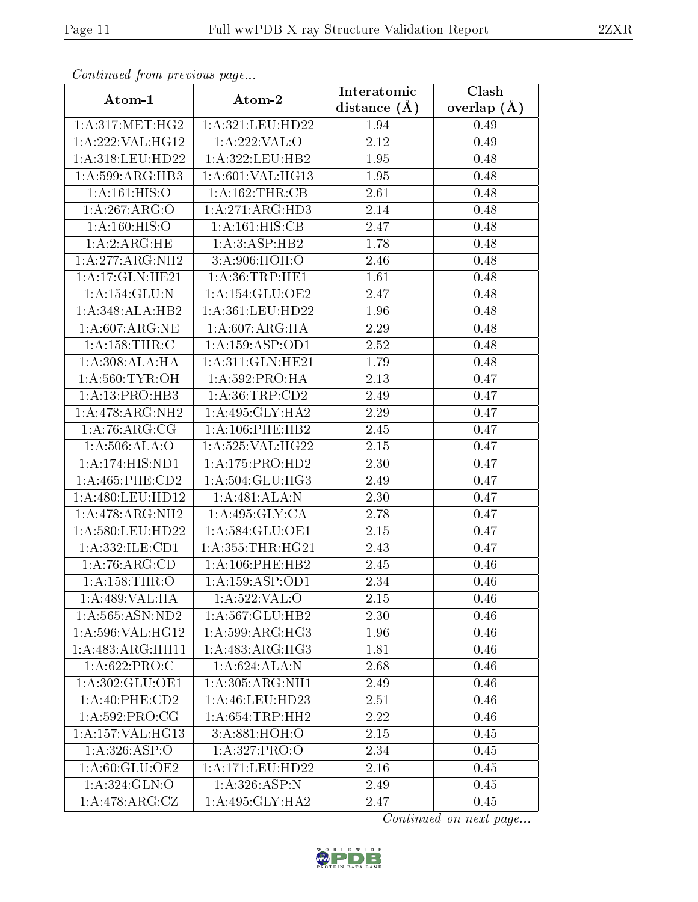| Continued from previous page |                                   | Interatomic       | Clash         |
|------------------------------|-----------------------------------|-------------------|---------------|
| Atom-1                       | Atom-2                            | distance $(\AA)$  | overlap $(A)$ |
| 1: A:317: MET:HG2            | 1:A:321:LEU:HD22                  | 1.94              | 0.49          |
| 1:A:222:VAL:HG12             | 1:A:222:VAL:O                     | 2.12              | 0.49          |
| 1: A:318: LEU: HD22          | 1:A:322:LEU:HB2                   | 1.95              | 0.48          |
| 1:A:599:ARG:HB3              | 1:A:601:VAL:HG13                  | 1.95              | 0.48          |
| 1:A:161:HIS:O                | 1: A: 162: THR: CB                | 2.61              | 0.48          |
| 1:A:267:ARG:O                | 1:A:271:ARG:HD3                   | 2.14              | 0.48          |
| 1:A:160:HIS:O                | 1:A:161:HIS:CB                    | 2.47              | 0.48          |
| 1:A:2:ARG:HE                 | 1: A:3: ASP: HB2                  | 1.78              | 0.48          |
| 1:A:277:ARG:NH2              | 3:A:906:HOH:O                     | 2.46              | 0.48          |
| 1:A:17:GLN:HE21              | 1: A:36:TRP:HE1                   | 1.61              | 0.48          |
| 1: A: 154: GLU: N            | 1: A:154: GLU:OE2                 | 2.47              | 0.48          |
| 1:A:348:ALA:HB2              | 1:A:361:LEU:HD22                  | 1.96              | 0.48          |
| 1: A:607: ARG: NE            | 1: A:607: ARG: HA                 | 2.29              | 0.48          |
| 1:A:158:THR:C                | 1:A:159:ASP:OD1                   | $\overline{2.52}$ | 0.48          |
| 1: A:308:ALA:HA              | 1:A:311:GLN:HE21                  | 1.79              | 0.48          |
| 1: A:560:TYR:OH              | 1: A:592: PRO:HA                  | 2.13              | 0.47          |
| 1: A:13: PRO:HB3             | 1: A:36:TRP:CD2                   | 2.49              | 0.47          |
| 1:A:478:ARG:NH2              | 1:A:495:GLY:HA2                   | 2.29              | 0.47          |
| 1:A:76:ARG:CG                | 1: A:106: PHE:HB2                 | 2.45              | 0.47          |
| 1: A:506: ALA:O              | 1:A:525:VAL:HG22                  | 2.15              | 0.47          |
| 1:A:174:HIS:ND1              | 1:A:175:PRO:HD2                   | 2.30              | 0.47          |
| 1: A: 465: PHE: CD2          | 1: A:504: GLU:HG3                 | 2.49              | 0.47          |
| 1: A:480: LEU: HD12          | 1:A:481:ALA:N                     | 2.30              | 0.47          |
| 1:A:478:ARG:NH2              | 1: A:495: GLY: CA                 | 2.78              | 0.47          |
| 1:A:580:LEU:HD22             | 1:A:584:GLU:OE1                   | 2.15              | 0.47          |
| 1:A:332:ILE:CD1              | $1: A: 355: THR: \overline{HG21}$ | 2.43              | 0.47          |
| 1:A:76:ARG:CD                | 1:A:106:PHE:HB2                   | 2.45              | 0.46          |
| 1:A:158:THR:O                | 1: A: 159: ASP:OD1                | 2.34              | $0.46\,$      |
| 1:A:489:VAL:HA               | 1:A:522:VAL:O                     | 2.15              | 0.46          |
| 1: A: 565: ASN: ND2          | 1: A:567: GLU:HB2                 | 2.30              | 0.46          |
| 1: A:596: VAL:HG12           | 1:A:599:ARG:HG3                   | 1.96              | 0.46          |
| 1:A:483:ARG:HH11             | 1:A:483:ARG:HG3                   | 1.81              | 0.46          |
| 1:A:622:PRO:C                | $1:A:624:\overline{ALA:N}$        | 2.68              | 0.46          |
| 1: A:302: GLU:OE1            | 1: A: 305: ARG: NH1               | 2.49              | 0.46          |
| 1:A:40:PHE:CD2               | 1:A:46:LEU:HD23                   | 2.51              | 0.46          |
| 1: A:592: PRO:CG             | 1: A:654:TRP:HH2                  | 2.22              | 0.46          |
| 1: A: 157: VAL: HG13         | 3:A:881:HOH:O                     | 2.15              | 0.45          |
| 1: A:326: ASP:O              | 1: A:327: PRO:O                   | 2.34              | 0.45          |
| 1: A:60: GLU:OE2             | 1:A:171:LEU:HD22                  | 2.16              | 0.45          |
| 1: A:324: GLN:O              | $1:A:326:ASP\overline{N}$         | 2.49              | 0.45          |
| $1:A:478:ARG:\overline{CZ}$  | 1: A:495: GLY:HA2                 | 2.47              | 0.45          |

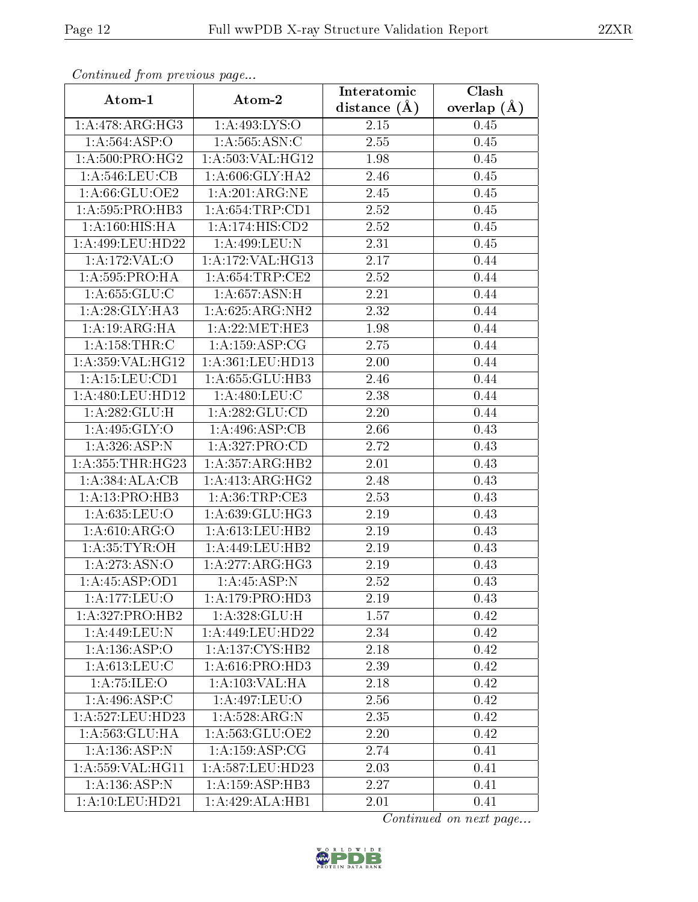| Continuea from previous page |                                      | Interatomic       | Clash         |
|------------------------------|--------------------------------------|-------------------|---------------|
| Atom-1                       | Atom-2                               | distance $(A)$    | overlap $(A)$ |
| 1:A:478:ARG:HG3              | 1:A:493:LYS:O                        | 2.15              | 0.45          |
| 1: A:564:ASP:O               | 1: A: 565: ASN: C                    | 2.55              | 0.45          |
| 1: A:500: PRO:HG2            | 1: A: 503: VAL: HG12                 | 1.98              | 0.45          |
| 1: A:546: LEU: CB            | 1: A:606: GLY:HA2                    | 2.46              | 0.45          |
| 1:A:66:GLU:OE2               | 1: A:201: ARG: NE                    | 2.45              | 0.45          |
| 1: A:595: PRO:HB3            | 1: A:654:TRP:CD1                     | 2.52              | 0.45          |
| 1: A:160:HIS:HA              | 1:A:174:HIS:CD2                      | 2.52              | 0.45          |
| 1: A:499:LEU:HD22            | 1:A:499:LEU:N                        | 2.31              | 0.45          |
| 1:A:172:VAL:O                | 1:A:172:VAL:HG13                     | 2.17              | 0.44          |
| 1: A:595: PRO:HA             | 1: A:654:TRP:CE2                     | 2.52              | 0.44          |
| 1: A: 655: GLU: C            | 1: A:657: ASN:H                      | 2.21              | 0.44          |
| 1:A:28:GLY:HA3               | 1:A:625:ARG:NH2                      | 2.32              | 0.44          |
| 1: A: 19: ARG: HA            | 1:A:22:MET:HE3                       | 1.98              | 0.44          |
| 1: A: 158: THR: C            | 1: A: 159: ASP: CG                   | 2.75              | 0.44          |
| 1:A:359:VAL:HG12             | 1: A: 361: LEU: HD13                 | 2.00              | 0.44          |
| 1:A:15:LEU:CD1               | 1: A:655: GLU:HB3                    | 2.46              | 0.44          |
| 1:A:480:LEU:HD12             | 1:A:480:LEU:C                        | 2.38              | 0.44          |
| 1: A:282: GLU: H             | 1: A:282: GLU:CD                     | 2.20              | 0.44          |
| 1:A:495:GLY:O                | 1:A:496:ASP:CB                       | 2.66              | 0.43          |
| 1: A:326: ASP: N             | 1: A: 327: PRO:CD                    | 2.72              | 0.43          |
| 1: A: 355: THR: HG23         | 1:A:357:ARG:HB2                      | 2.01              | 0.43          |
| 1: A: 384: ALA: CB           | 1: A:413:ARG:HG2                     | 2.48              | 0.43          |
| 1:A:13:PRO:HB3               | 1: A:36:TRP:CE3                      | 2.53              | 0.43          |
| 1:A:635:LEU:O                | 1:A:639:GLU:HG3                      | 2.19              | 0.43          |
| 1: A:610: ARG:O              | 1:A:613:LEU:HB2                      | 2.19              | 0.43          |
| 1: A:35:TYR:OH               | 1:A:449:LEU:HB2                      | 2.19              | 0.43          |
| 1:A:273:ASN:O                | 1:A:277:ARG:HG3                      | 2.19              | 0.43          |
| 1: A: 45: ASP: OD1           | 1: A:45:ASP:N                        | 2.52              | 0.43          |
| 1: A: 177: LEU: O            | 1:A:179:PRO:HD3                      | 2.19              | 0.43          |
| 1:A:327:PRO:HB2              | 1: A:328: GLU:H                      | $1.57\,$          | 0.42          |
| 1:A:449:LEU:N                | 1:A:449:LEU:HD22                     | 2.34              | 0.42          |
| 1:A:136:ASP:O                | 1:A:137:CYS:HB2                      | 2.18              | 0.42          |
| $1: A:613:$ LEU:C            | 1: A:616: PRO:HD3                    | 2.39              | 0.42          |
| 1: A:75: ILE: O              | 1: A: 103: VAL: HA                   | 2.18              | 0.42          |
| 1:A:496:ASP:C                | 1:A:497:LEU:O                        | 2.56              | 0.42          |
| 1:A:527:LEU:H <sub>D23</sub> | 1: A:528: ARG: N                     | 2.35              | 0.42          |
| 1: A:563: GLU: HA            | 1:A:563:GLU:OE2                      | 2.20              | 0.42          |
| 1:A:136:ASP:N                | 1:A:159:ASP:CG                       | 2.74              | 0.41          |
| 1:A:559:VAL:HG11             | 1:A:587:LEU:HD23                     | 2.03              | 0.41          |
| 1: A: 136: ASP: N            | $1:A:159: \overline{\text{ASP:HB3}}$ | $\overline{2}.27$ | 0.41          |
| 1: A: 10: LEU: HD21          | $1:A:429:\overline{\text{ALA:HB1}}$  | 2.01              | 0.41          |

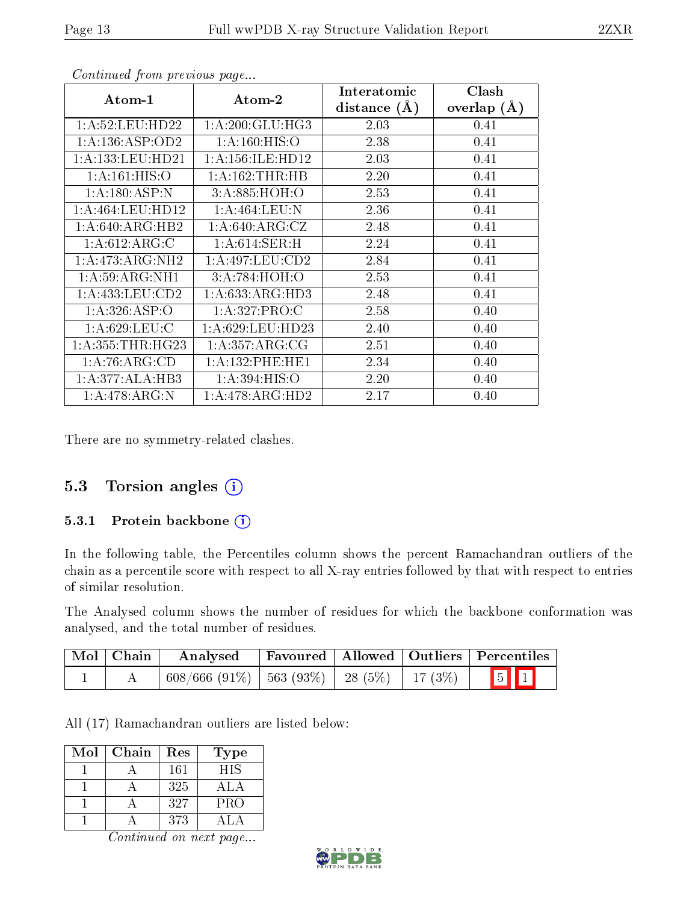| Atom-1               | Atom-2                      | Interatomic      | Clash         |
|----------------------|-----------------------------|------------------|---------------|
|                      |                             | distance $(\AA)$ | overlap $(A)$ |
| 1: A:52: LEU:HD22    | 1: A:200: GLU:HG3           | 2.03             | 0.41          |
| 1: A: 136: ASP: OD2  | 1: A: 160: HIS: O           | 2.38             | 0.41          |
| 1: A: 133: LEU: HD21 | 1: A: 156: ILE: HD12        | 2.03             | 0.41          |
| 1:A:161:HIS:O        | 1: A: 162: THR: HB          | 2.20             | 0.41          |
| 1:A:180:ASP:N        | 3:A:885:HOH:O               | 2.53             | 0.41          |
| 1: A:464:LEU:HD12    | 1: A:464:LEU:N              | 2.36             | 0.41          |
| 1: A:640:ARG:HB2     | 1: A:640:ARG:CZ             | 2.48             | 0.41          |
| 1: A:612: ARG: C     | 1: A:614:SER:H              | 2.24             | 0.41          |
| 1:A:473:ARG:NH2      | 1: A:497:LEU:CD2            | 2.84             | 0.41          |
| 1: A:59: ARG:NH1     | 3:A:784:HOH:O               | 2.53             | 0.41          |
| 1: A: 433: LEU: CD2  | 1:A:633:ARG:HD3             | 2.48             | 0.41          |
| 1:A:326:ASP:O        | 1: A:327: PRO:C             | 2.58             | 0.40          |
| 1: A:629:LEU:C       | 1: A:629:LEU:HD23           | 2.40             | 0.40          |
| 1: A: 355: THR: HG23 | $1:A:357:ARG:\overline{CG}$ | 2.51             | 0.40          |
| 1: A:76: ARG:CD      | 1: A: 132: PHE: HE1         | 2.34             | 0.40          |
| 1:A:377:ALA:HB3      | 1:A:394:HIS:O               | 2.20             | 0.40          |
| 1:A:478:ARG:N        | 1:A:478:ARG:HD2             | 2.17             | 0.40          |

There are no symmetry-related clashes.

## 5.3 Torsion angles (i)

#### 5.3.1 Protein backbone (i)

In the following table, the Percentiles column shows the percent Ramachandran outliers of the chain as a percentile score with respect to all X-ray entries followed by that with respect to entries of similar resolution.

The Analysed column shows the number of residues for which the backbone conformation was analysed, and the total number of residues.

| $\mid$ Mol $\mid$ Chain | Analysed                                            |  | Favoured   Allowed   Outliers   Percentiles |
|-------------------------|-----------------------------------------------------|--|---------------------------------------------|
|                         | $608/666$ (91\%)   563 (93\%)   28 (5\%)   17 (3\%) |  | $\boxed{5}$ $\boxed{1}$                     |

All (17) Ramachandran outliers are listed below:

| Mol | Chain | Res | Type       |
|-----|-------|-----|------------|
|     |       | 161 | <b>HIS</b> |
|     |       | 325 | A L.A      |
|     |       | 327 | PRO        |
|     |       | 373 |            |

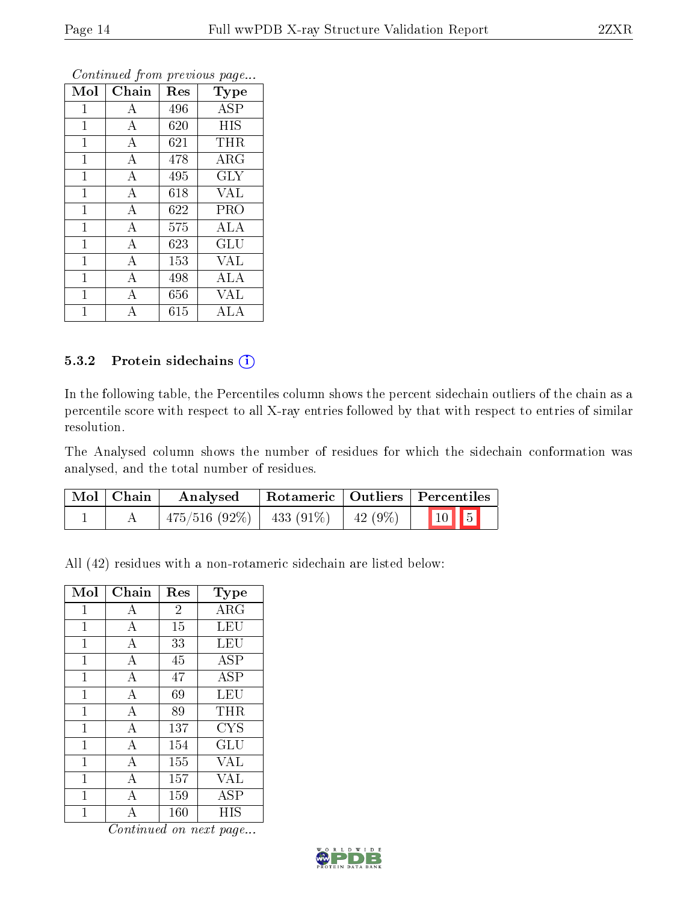|                |                    | ×.  |            |
|----------------|--------------------|-----|------------|
| Mol            | Chain              | Res | Type       |
| $\mathbf 1$    | A                  | 496 | ASP        |
| $\mathbf 1$    | А                  | 620 | HIS        |
| $\mathbf{1}$   | $\bf{A}$           | 621 | <b>THR</b> |
| $\mathbf 1$    | $\boldsymbol{A}$   | 478 | $\rm{ARG}$ |
| $\mathbf 1$    | $\boldsymbol{A}$   | 495 | $\rm GLY$  |
| $\overline{1}$ | $\bf{A}$           | 618 | <b>VAL</b> |
| $\mathbf{1}$   | $\boldsymbol{A}$   | 622 | <b>PRO</b> |
| $\mathbf 1$    | $\boldsymbol{A}$   | 575 | ALA        |
| $\overline{1}$ | A                  | 623 | GLU        |
| $\mathbf{1}$   | $\overline{\rm A}$ | 153 | VAL        |
| $\mathbf{1}$   | $\overline{A}$     | 498 | ALA        |
| $\mathbf{1}$   | А                  | 656 | <b>VAL</b> |
| 1              | А                  | 615 | ALA        |

#### 5.3.2 Protein sidechains (i)

In the following table, the Percentiles column shows the percent sidechain outliers of the chain as a percentile score with respect to all X-ray entries followed by that with respect to entries of similar resolution.

The Analysed column shows the number of residues for which the sidechain conformation was analysed, and the total number of residues.

| Mol   Chain | Analysed                                 |  | Rotameric   Outliers   Percentiles |
|-------------|------------------------------------------|--|------------------------------------|
|             | $475/516$ (92\%)   433 (91\%)   42 (9\%) |  | $\boxed{10}$ $\boxed{5}$           |

All (42) residues with a non-rotameric sidechain are listed below:

| Mol | Chain          | Res            | $_{\rm Type}$        |
|-----|----------------|----------------|----------------------|
| 1   | А              | $\overline{2}$ | ARG                  |
| 1   | $\bf{A}$       | 15             | LEU                  |
| 1   | А              | 33             | LEU                  |
| 1   | А              | 45             | <b>ASP</b>           |
| 1   | $\overline{A}$ | 47             | ASP                  |
| 1   | А              | 69             | LEU                  |
| 1   | $\bf{A}$       | 89             | THR                  |
| 1   | А              | 137            | <b>CYS</b>           |
| 1   | А              | 154            | $\operatorname{GLU}$ |
| 1   | А              | 155            | VAL                  |
| 1   | А              | 157            | VAL                  |
| 1   | A              | 159            | ASP                  |
| 1   | А              | 160            | HIS                  |

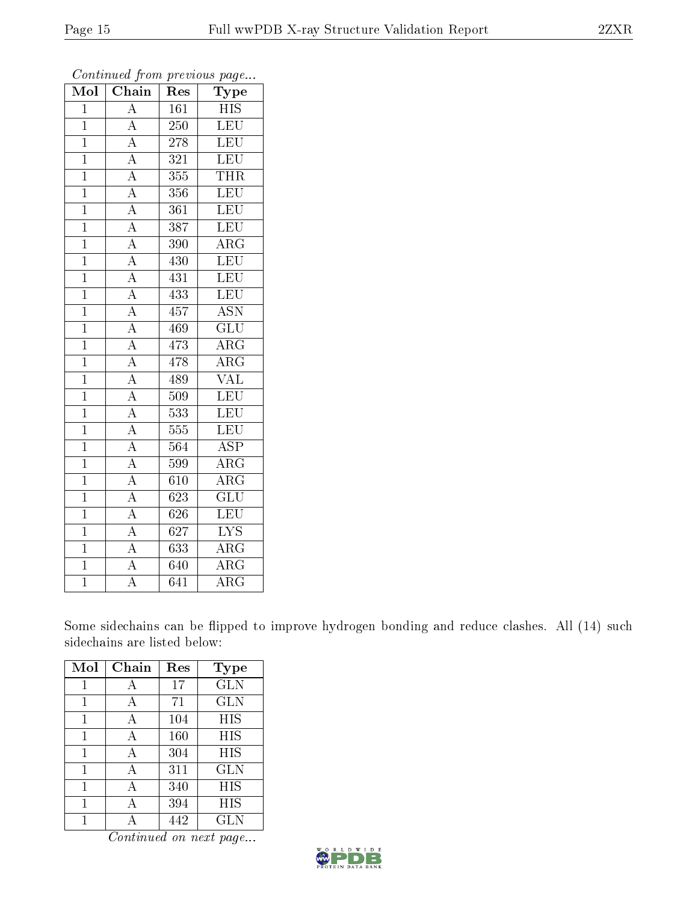| Mol            | Chain              | $\operatorname{Res}% \left( \mathcal{N}\right) \equiv\operatorname{Res}(\mathcal{N}_{0})\cap\mathcal{N}_{1}$ | Type                    |
|----------------|--------------------|--------------------------------------------------------------------------------------------------------------|-------------------------|
| $\overline{1}$ | $\overline{\rm A}$ | 161                                                                                                          | <b>HIS</b>              |
| $\overline{1}$ | $\overline{A}$     | 250                                                                                                          | <b>LEU</b>              |
| $\overline{1}$ | $\overline{A}$     | 278                                                                                                          | <b>LEU</b>              |
| $\mathbf{1}$   | $\overline{A}$     | 321                                                                                                          | <b>LEU</b>              |
| $\overline{1}$ | $\overline{A}$     | $\overline{355}$                                                                                             | <b>THR</b>              |
| $\mathbf{1}$   | $\overline{A}$     | 356                                                                                                          | <b>LEU</b>              |
| $\overline{1}$ | $\overline{A}$     | $\overline{361}$                                                                                             | LEU                     |
| $\mathbf{1}$   | $\overline{A}$     | 387                                                                                                          | <b>LEU</b>              |
| $\mathbf{1}$   | $\overline{A}$     | 390                                                                                                          | $\rm{ARG}$              |
| $\overline{1}$ | $\overline{A}$     | 430                                                                                                          | LEU                     |
| $\overline{1}$ | $\overline{A}$     | 431                                                                                                          | LEU                     |
| $\overline{1}$ | $\overline{A}$     | 433                                                                                                          | LEU                     |
| $\overline{1}$ | $\overline{A}$     | 457                                                                                                          | <b>ASN</b>              |
| $\overline{1}$ | $\overline{A}$     | 469                                                                                                          | $\overline{\text{GLU}}$ |
| $\overline{1}$ | $\overline{A}$     | 473                                                                                                          | $\overline{\rm{ARG}}$   |
| $\mathbf{1}$   | $\overline{A}$     | 478                                                                                                          | $\rm{ARG}$              |
| $\overline{1}$ | $\overline{A}$     | 489                                                                                                          | $\overline{\text{VAL}}$ |
| $\overline{1}$ | $\overline{A}$     | 509                                                                                                          | LEU                     |
| $\overline{1}$ | $\overline{A}$     | 533                                                                                                          | LEU                     |
| $\overline{1}$ | $\overline{A}$     | 555                                                                                                          | LEU                     |
| $\overline{1}$ | $\overline{A}$     | 564                                                                                                          | <b>ASP</b>              |
| $\overline{1}$ | $\overline{A}$     | 599                                                                                                          | $\overline{\rm{ARG}}$   |
| $\overline{1}$ | $\overline{A}$     | 610                                                                                                          | $\rm{ARG}$              |
| $\overline{1}$ | $\overline{A}$     | 623                                                                                                          | $\overline{{\rm GLU}}$  |
| $\overline{1}$ | $\overline{A}$     | 626                                                                                                          | LEU                     |
| $\overline{1}$ | $\overline{A}$     | 627                                                                                                          | <b>LYS</b>              |
| $\overline{1}$ | $\overline{A}$     | 633                                                                                                          | $\overline{\text{ARG}}$ |
| $\overline{1}$ | $\overline{A}$     | 640                                                                                                          | $\rm{ARG}$              |
| $\overline{1}$ | $\overline{\rm A}$ | $\overline{6}41$                                                                                             | $\overline{\rm{ARG}}$   |

Some sidechains can be flipped to improve hydrogen bonding and reduce clashes. All (14) such sidechains are listed below:

| Mol | Chain | Res | <b>Type</b> |
|-----|-------|-----|-------------|
| 1   | А     | 17  | <b>GLN</b>  |
|     |       | 71  | <b>GLN</b>  |
| 1   |       | 104 | HIS         |
| 1   | А     | 160 | HIS         |
| 1   | А     | 304 | HIS         |
| 1   | А     | 311 | <b>GLN</b>  |
| 1   | А     | 340 | HIS         |
| 1   | А     | 394 | HIS         |
|     |       | 442 | <b>GLN</b>  |

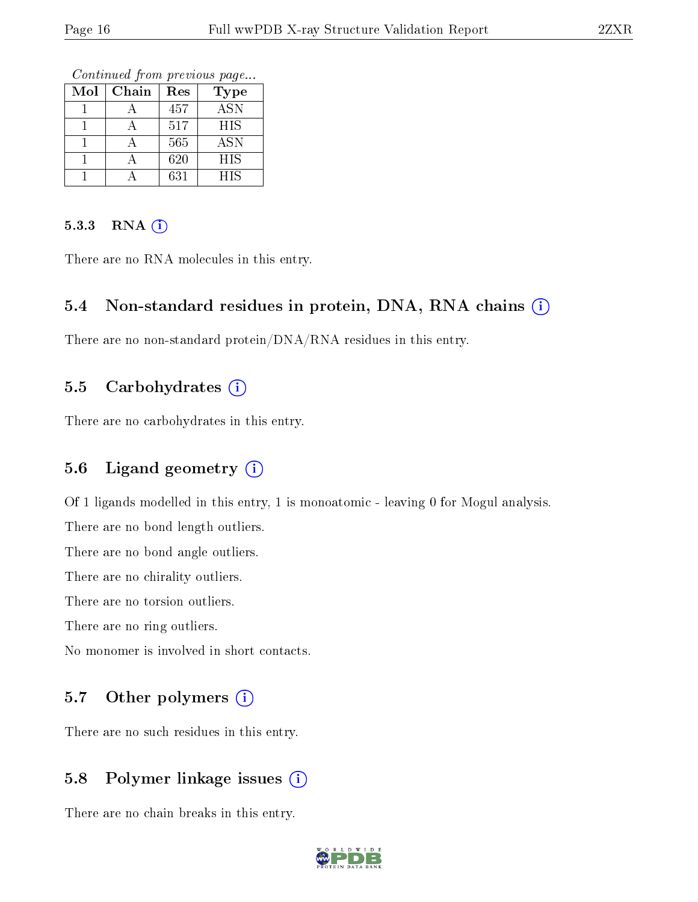Continued from previous page...

| Mol | Chain | Res | Type       |
|-----|-------|-----|------------|
|     |       | 457 | <b>ASN</b> |
|     |       | 517 | <b>HIS</b> |
|     |       | 565 | ASN        |
|     |       | 620 | <b>HIS</b> |
|     |       | 631 | HIS        |

#### $5.3.3$  RNA  $(i)$

There are no RNA molecules in this entry.

#### 5.4 Non-standard residues in protein, DNA, RNA chains (i)

There are no non-standard protein/DNA/RNA residues in this entry.

### 5.5 Carbohydrates  $(i)$

There are no carbohydrates in this entry.

## 5.6 Ligand geometry  $(i)$

Of 1 ligands modelled in this entry, 1 is monoatomic - leaving 0 for Mogul analysis.

There are no bond length outliers.

There are no bond angle outliers.

There are no chirality outliers.

There are no torsion outliers.

There are no ring outliers.

No monomer is involved in short contacts.

### 5.7 [O](https://www.wwpdb.org/validation/2017/XrayValidationReportHelp#nonstandard_residues_and_ligands)ther polymers (i)

There are no such residues in this entry.

### 5.8 Polymer linkage issues (i)

There are no chain breaks in this entry.

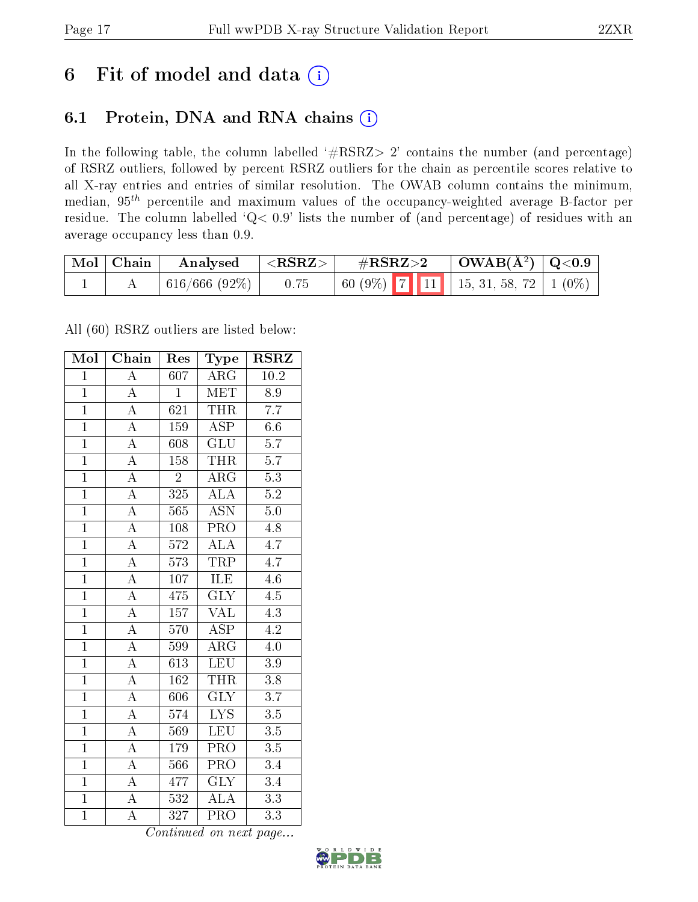## 6 Fit of model and data  $(i)$

## 6.1 Protein, DNA and RNA chains  $(i)$

In the following table, the column labelled  $#RSRZ> 2'$  contains the number (and percentage) of RSRZ outliers, followed by percent RSRZ outliers for the chain as percentile scores relative to all X-ray entries and entries of similar resolution. The OWAB column contains the minimum, median,  $95<sup>th</sup>$  percentile and maximum values of the occupancy-weighted average B-factor per residue. The column labelled ' $Q< 0.9$ ' lists the number of (and percentage) of residues with an average occupancy less than 0.9.

| $\mid$ Mol $\mid$ Chain | Analysed      | $^+$ <rsrz> <math>^-</math></rsrz> | $\#\text{RSRZ}\text{>2}$ | $\vert$ OWAB( $\rm{\AA}^2$ ) $\vert$ Q<0.9 |  |
|-------------------------|---------------|------------------------------------|--------------------------|--------------------------------------------|--|
|                         | 616/666 (92%) | 0.75                               |                          |                                            |  |

All (60) RSRZ outliers are listed below:

| Mol            | Chain              | Res              | Type                    | <b>RSRZ</b>      |
|----------------|--------------------|------------------|-------------------------|------------------|
| $\mathbf{1}$   | $\overline{\rm A}$ | 607              | $\rm{ARG}$              | 10.2             |
| $\mathbf{1}$   | $\overline{\rm A}$ | $\mathbf{1}$     | <b>MET</b>              | 8.9              |
| $\overline{1}$ | $\overline{\rm A}$ | 621              | <b>THR</b>              | $\overline{7.7}$ |
| $\overline{1}$ | $\overline{\rm A}$ | 159              | ASP                     | $6.6\,$          |
| $\overline{1}$ | $\overline{\rm A}$ | 608              | $\overline{{\rm GLU}}$  | $\overline{5.7}$ |
| $\overline{1}$ | $\overline{A}$     | 158              | <b>THR</b>              | $\overline{5.7}$ |
| $\overline{1}$ | $\overline{\rm A}$ | $\overline{2}$   | $\rm{ARG}$              | $\overline{5.3}$ |
| $\overline{1}$ | $\overline{A}$     | $\overline{325}$ | $\overline{\rm ALA}$    | $\overline{5.2}$ |
| $\overline{1}$ | $\overline{\rm A}$ | 565              | <b>ASN</b>              | $\overline{5.0}$ |
| $\overline{1}$ | $\overline{A}$     | 108              | <b>PRO</b>              | $\overline{4.8}$ |
| $\mathbf{1}$   | $\overline{\rm A}$ | 572              | ALA                     | $4.\overline{7}$ |
| $\overline{1}$ | $\overline{A}$     | $\overline{573}$ | <b>TRP</b>              | $\overline{4.7}$ |
| $\overline{1}$ | $\overline{\rm A}$ | 107              | <b>ILE</b>              | $\overline{4.6}$ |
| $\overline{1}$ | $\overline{\rm A}$ | 475              | $\overline{\text{GLY}}$ | $\overline{4.5}$ |
| $\overline{1}$ | $\overline{A}$     | $\overline{157}$ | $\overline{\text{VAL}}$ | $\overline{4.3}$ |
| $\overline{1}$ | $\overline{\rm A}$ | 570              | $\overline{\rm ASP}$    | 4.2              |
| $\overline{1}$ | $\overline{\rm A}$ | 599              | $\overline{\rm{ARG}}$   | $4.\overline{0}$ |
| $\overline{1}$ | $\overline{\rm A}$ | 613              | LEU                     | $\overline{3.9}$ |
| $\overline{1}$ | $\overline{\rm A}$ | 162              | <b>THR</b>              | 3.8              |
| $\overline{1}$ | $\overline{\rm A}$ | 606              | $\overline{\text{GLY}}$ | $\overline{3.7}$ |
| $\overline{1}$ | $\overline{\rm A}$ | 574              | $\overline{\text{LYS}}$ | $\overline{3.5}$ |
| $\overline{1}$ | $\overline{\rm A}$ | 569              | LEU                     | $\overline{3.5}$ |
| $\mathbf{1}$   | А                  | 179              | PRO                     | $3.5\,$          |
| $\overline{1}$ | $\overline{A}$     | 566              | $\overline{\text{PRO}}$ | 3.4              |
| $\overline{1}$ | $\overline{\rm A}$ | 477              | $\overline{\text{GLY}}$ | $\overline{3.4}$ |
| $\overline{1}$ | A                  | $\overline{532}$ | <b>ALA</b>              | $\overline{3.3}$ |
| $\overline{1}$ | $\overline{\rm A}$ | 327              | $\overline{\text{PRO}}$ | $\overline{3.3}$ |

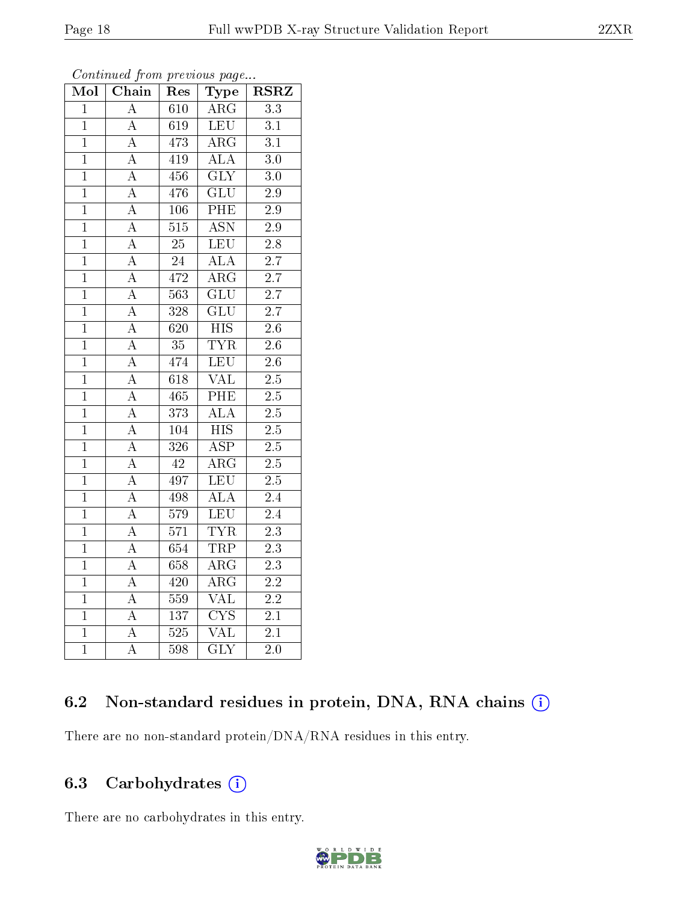| $Mo\overline{I}$ | Chain              | Res              | <b>Type</b>             | <b>RSRZ</b>      |
|------------------|--------------------|------------------|-------------------------|------------------|
| $\overline{1}$   | $\overline{\rm A}$ | 610              | $\rm{ARG}$              | 3.3              |
| $\mathbf{1}$     | $\overline{\rm A}$ | $\overline{619}$ | LEU                     | $\overline{3.1}$ |
| $\mathbf{1}$     | $\overline{\rm A}$ | 473              | $\overline{\rm ARG}$    | $\overline{3.1}$ |
| $\overline{1}$   | $\overline{\rm A}$ | 419              | <b>ALA</b>              | $\overline{3.0}$ |
| $\mathbf{1}$     | $\overline{\rm A}$ | 456              | $\overline{\text{GLY}}$ | $3.0\,$          |
| $\overline{1}$   | $\boldsymbol{A}$   | 476              | GLU                     | $\overline{2.9}$ |
| $\mathbf{1}$     | $\boldsymbol{A}$   | 106              | PHE                     | $2.9\,$          |
| $\overline{1}$   | $\overline{\rm A}$ | 515              | $\overline{\text{ASN}}$ | $\overline{2.9}$ |
| $\mathbf{1}$     | $\overline{\rm A}$ | 25               | <b>LEU</b>              | $\overline{2.8}$ |
| $\mathbf{1}$     | $\overline{\rm A}$ | $\overline{24}$  | $\overline{ALA}$        | $\overline{2.7}$ |
| $\mathbf{1}$     | $\overline{\rm A}$ | 472              | $\overline{\rm{ARG}}$   | $\overline{2.7}$ |
| $\mathbf{1}$     | $\overline{\rm A}$ | $\overline{563}$ | $\overline{\text{GLU}}$ | $\overline{2.7}$ |
| $\mathbf{1}$     | $\overline{\rm A}$ | 328              | $\overline{\text{GLU}}$ | $\overline{2.7}$ |
| $\mathbf{1}$     | $\overline{\rm A}$ | $\overline{620}$ | $\overline{HIS}$        | $\overline{2.6}$ |
| $\mathbf{1}$     | $\overline{\rm A}$ | $\overline{35}$  | <b>TYR</b>              | $\overline{2.6}$ |
| $\mathbf{1}$     | A                  | 474              | LEU                     | 2.6              |
| $\overline{1}$   | $\overline{\rm A}$ | 618              | $\overline{\text{VAL}}$ | $\overline{2.5}$ |
| $\overline{1}$   | $\overline{\rm A}$ | 465              | $\overline{\rm{PHE}}$   | $\overline{2.5}$ |
| $\overline{1}$   | $\overline{\rm A}$ | 373              | $\overline{ALA}$        | $\overline{2.5}$ |
| $\overline{1}$   | $\overline{\rm A}$ | 104              | $\overline{HIS}$        | $\overline{2.5}$ |
| $\overline{1}$   | A                  | 326              | $\overline{\text{ASP}}$ | $2.5\,$          |
| $\mathbf{1}$     | $\overline{\rm A}$ | $\overline{42}$  | $\overline{\rm{ARG}}$   | $\overline{2.5}$ |
| $\mathbf{1}$     | A                  | 497              | <b>LEU</b>              | $2.5\,$          |
| $\overline{1}$   | $\overline{\rm A}$ | 498              | $\overline{\text{ALA}}$ | $\overline{2.4}$ |
| $\mathbf{1}$     | $\overline{\rm A}$ | 579              | LEU                     | $\overline{2.4}$ |
| $\overline{1}$   | $\overline{\rm A}$ | 571              | <b>TYR</b>              | $\overline{2.3}$ |
| $\mathbf{1}$     | A                  | 654              | <b>TRP</b>              | 2.3              |
| $\overline{1}$   | $\overline{\rm A}$ | 658              | $\overline{\rm{ARG}}$   | $\overline{2.3}$ |
| $\mathbf{1}$     | $\overline{\rm A}$ | $\overline{420}$ | $\overline{\rm{ARG}}$   | $\overline{2.2}$ |
| $\overline{1}$   | $\overline{\rm A}$ | 559              | $\overline{\text{VAL}}$ | $\overline{2.2}$ |
| $\mathbf{1}$     | A                  | 137              | $\overline{\text{CYS}}$ | $2.1\,$          |
| $\mathbf{1}$     | A                  | 525              | VAL                     | $\overline{2.1}$ |
| $\mathbf{1}$     | $\bf{A}$           | 598              | <b>GLY</b>              | 2.0              |

Continued from previous page...

## 6.2 Non-standard residues in protein, DNA, RNA chains (i)

There are no non-standard protein/DNA/RNA residues in this entry.

## 6.3 Carbohydrates  $(i)$

There are no carbohydrates in this entry.